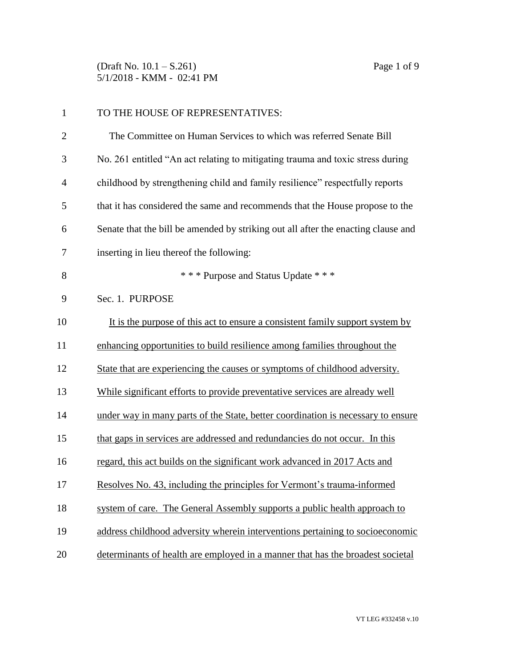(Draft No. 10.1 – S.261) Page 1 of 9 5/1/2018 - KMM - 02:41 PM

| $\mathbf{1}$   | TO THE HOUSE OF REPRESENTATIVES:                                                  |
|----------------|-----------------------------------------------------------------------------------|
| $\overline{2}$ | The Committee on Human Services to which was referred Senate Bill                 |
| 3              | No. 261 entitled "An act relating to mitigating trauma and toxic stress during    |
| $\overline{4}$ | childhood by strengthening child and family resilience" respectfully reports      |
| 5              | that it has considered the same and recommends that the House propose to the      |
| 6              | Senate that the bill be amended by striking out all after the enacting clause and |
| 7              | inserting in lieu thereof the following:                                          |
| 8              | * * * Purpose and Status Update * * *                                             |
| 9              | Sec. 1. PURPOSE                                                                   |
| 10             | It is the purpose of this act to ensure a consistent family support system by     |
| 11             | enhancing opportunities to build resilience among families throughout the         |
| 12             | State that are experiencing the causes or symptoms of childhood adversity.        |
| 13             | While significant efforts to provide preventative services are already well       |
| 14             | under way in many parts of the State, better coordination is necessary to ensure  |
| 15             | that gaps in services are addressed and redundancies do not occur. In this        |
| 16             | regard, this act builds on the significant work advanced in 2017 Acts and         |
| 17             | Resolves No. 43, including the principles for Vermont's trauma-informed           |
| 18             | system of care. The General Assembly supports a public health approach to         |
| 19             | address childhood adversity wherein interventions pertaining to socioeconomic     |
| 20             | determinants of health are employed in a manner that has the broadest societal    |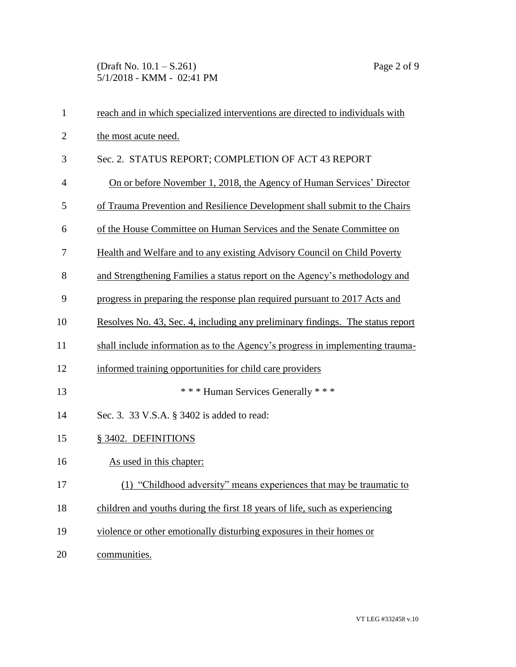(Draft No. 10.1 – S.261) Page 2 of 9 5/1/2018 - KMM - 02:41 PM

| $\mathbf{1}$   | reach and in which specialized interventions are directed to individuals with  |
|----------------|--------------------------------------------------------------------------------|
| $\overline{2}$ | the most acute need.                                                           |
| 3              | Sec. 2. STATUS REPORT; COMPLETION OF ACT 43 REPORT                             |
| $\overline{4}$ | On or before November 1, 2018, the Agency of Human Services' Director          |
| 5              | of Trauma Prevention and Resilience Development shall submit to the Chairs     |
| 6              | of the House Committee on Human Services and the Senate Committee on           |
| 7              | Health and Welfare and to any existing Advisory Council on Child Poverty       |
| 8              | and Strengthening Families a status report on the Agency's methodology and     |
| 9              | progress in preparing the response plan required pursuant to 2017 Acts and     |
| 10             | Resolves No. 43, Sec. 4, including any preliminary findings. The status report |
| 11             | shall include information as to the Agency's progress in implementing trauma-  |
| 12             | informed training opportunities for child care providers                       |
| 13             | *** Human Services Generally ***                                               |
| 14             | Sec. 3. 33 V.S.A. § 3402 is added to read:                                     |
| 15             | § 3402. DEFINITIONS                                                            |
| 16             | As used in this chapter:                                                       |
| 17             | (1) "Childhood adversity" means experiences that may be traumatic to           |
| 18             | children and youths during the first 18 years of life, such as experiencing    |
| 19             | violence or other emotionally disturbing exposures in their homes or           |
| 20             | communities.                                                                   |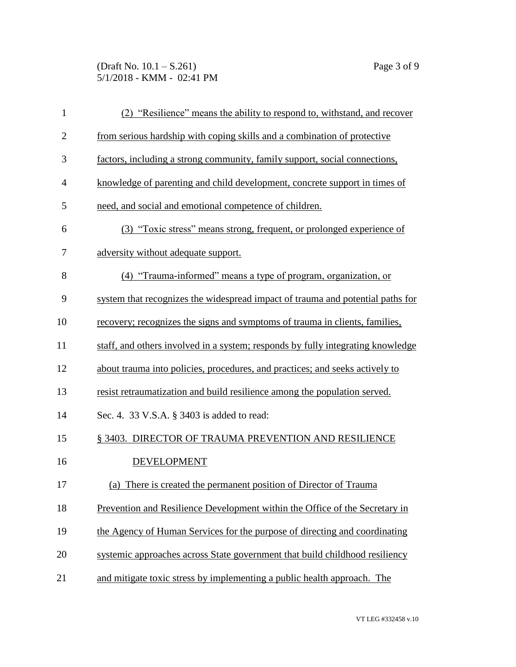(Draft No. 10.1 – S.261) Page 3 of 9 5/1/2018 - KMM - 02:41 PM

| $\mathbf{1}$   | (2) "Resilience" means the ability to respond to, with stand, and recover       |
|----------------|---------------------------------------------------------------------------------|
| $\mathbf{2}$   | from serious hardship with coping skills and a combination of protective        |
| 3              | factors, including a strong community, family support, social connections,      |
| $\overline{4}$ | knowledge of parenting and child development, concrete support in times of      |
| 5              | need, and social and emotional competence of children.                          |
| 6              | (3) "Toxic stress" means strong, frequent, or prolonged experience of           |
| 7              | adversity without adequate support.                                             |
| 8              | (4) "Trauma-informed" means a type of program, organization, or                 |
| 9              | system that recognizes the widespread impact of trauma and potential paths for  |
| 10             | recovery; recognizes the signs and symptoms of trauma in clients, families,     |
| 11             | staff, and others involved in a system; responds by fully integrating knowledge |
| 12             | about trauma into policies, procedures, and practices; and seeks actively to    |
| 13             | resist retraumatization and build resilience among the population served.       |
| 14             | Sec. 4. 33 V.S.A. § 3403 is added to read:                                      |
| 15             | § 3403. DIRECTOR OF TRAUMA PREVENTION AND RESILIENCE                            |
| 16             | <b>DEVELOPMENT</b>                                                              |
| 17             | (a) There is created the permanent position of Director of Trauma               |
| 18             | Prevention and Resilience Development within the Office of the Secretary in     |
| 19             | the Agency of Human Services for the purpose of directing and coordinating      |
| 20             | systemic approaches across State government that build childhood resiliency     |
| 21             | and mitigate toxic stress by implementing a public health approach. The         |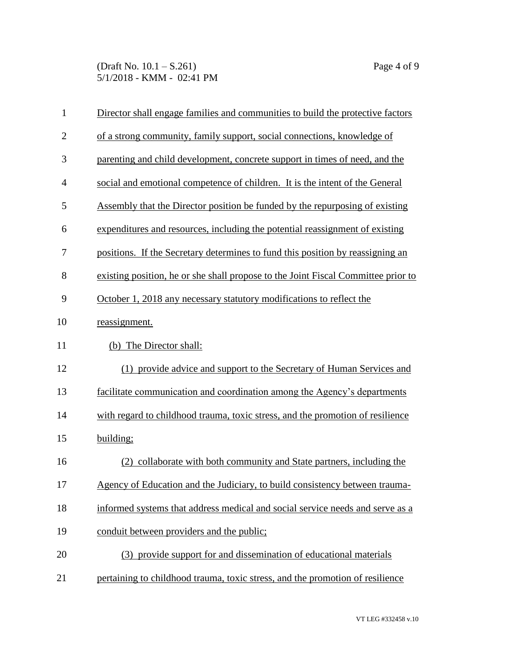(Draft No. 10.1 – S.261) Page 4 of 9 5/1/2018 - KMM - 02:41 PM

| $\mathbf{1}$   | Director shall engage families and communities to build the protective factors    |
|----------------|-----------------------------------------------------------------------------------|
| $\overline{2}$ | of a strong community, family support, social connections, knowledge of           |
| 3              | parenting and child development, concrete support in times of need, and the       |
| $\overline{4}$ | social and emotional competence of children. It is the intent of the General      |
| 5              | Assembly that the Director position be funded by the repurposing of existing      |
| 6              | expenditures and resources, including the potential reassignment of existing      |
| 7              | positions. If the Secretary determines to fund this position by reassigning an    |
| 8              | existing position, he or she shall propose to the Joint Fiscal Committee prior to |
| 9              | October 1, 2018 any necessary statutory modifications to reflect the              |
| 10             | reassignment.                                                                     |
| 11             | (b) The Director shall:                                                           |
| 12             | (1) provide advice and support to the Secretary of Human Services and             |
| 13             | facilitate communication and coordination among the Agency's departments          |
| 14             | with regard to childhood trauma, toxic stress, and the promotion of resilience    |
| 15             | building;                                                                         |
| 16             | collaborate with both community and State partners, including the<br>(2)          |
| 17             | Agency of Education and the Judiciary, to build consistency between trauma-       |
| 18             | informed systems that address medical and social service needs and serve as a     |
| 19             | conduit between providers and the public;                                         |
| 20             | (3) provide support for and dissemination of educational materials                |
| 21             | pertaining to childhood trauma, toxic stress, and the promotion of resilience     |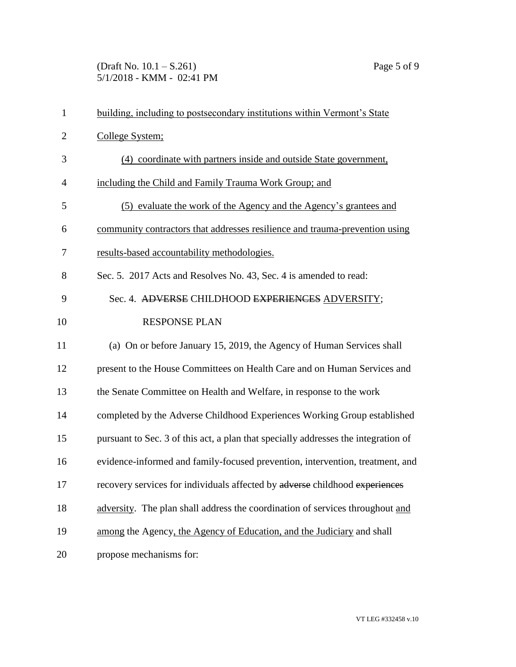(Draft No. 10.1 – S.261) Page 5 of 9 5/1/2018 - KMM - 02:41 PM

| $\mathbf{1}$   | building, including to postsecondary institutions within Vermont's State           |
|----------------|------------------------------------------------------------------------------------|
| $\overline{2}$ | College System;                                                                    |
| 3              | (4) coordinate with partners inside and outside State government,                  |
| 4              | including the Child and Family Trauma Work Group; and                              |
| 5              | (5) evaluate the work of the Agency and the Agency's grantees and                  |
| 6              | community contractors that addresses resilience and trauma-prevention using        |
| 7              | results-based accountability methodologies.                                        |
| 8              | Sec. 5. 2017 Acts and Resolves No. 43, Sec. 4 is amended to read:                  |
| 9              | Sec. 4. ADVERSE CHILDHOOD EXPERIENCES ADVERSITY;                                   |
| 10             | <b>RESPONSE PLAN</b>                                                               |
| 11             | (a) On or before January 15, 2019, the Agency of Human Services shall              |
| 12             | present to the House Committees on Health Care and on Human Services and           |
| 13             | the Senate Committee on Health and Welfare, in response to the work                |
| 14             | completed by the Adverse Childhood Experiences Working Group established           |
| 15             | pursuant to Sec. 3 of this act, a plan that specially addresses the integration of |
| 16             | evidence-informed and family-focused prevention, intervention, treatment, and      |
| 17             | recovery services for individuals affected by adverse childhood experiences        |
| 18             | adversity. The plan shall address the coordination of services throughout and      |
| 19             | among the Agency, the Agency of Education, and the Judiciary and shall             |
| 20             | propose mechanisms for:                                                            |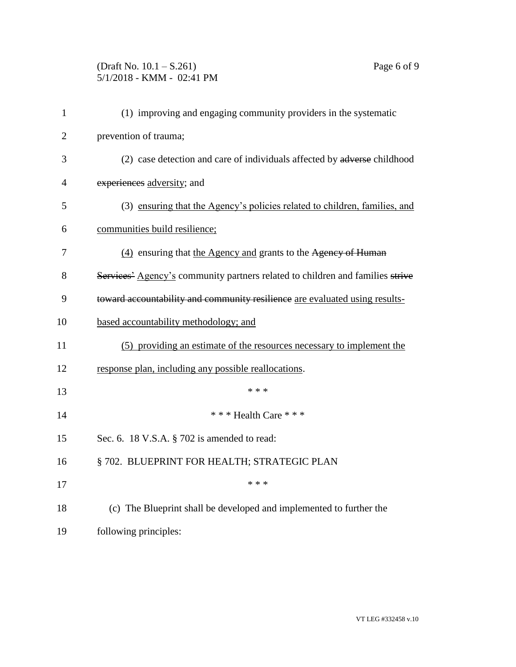(Draft No. 10.1 – S.261) Page 6 of 9 5/1/2018 - KMM - 02:41 PM

| $\mathbf{1}$   | (1) improving and engaging community providers in the systematic              |
|----------------|-------------------------------------------------------------------------------|
| $\overline{2}$ | prevention of trauma;                                                         |
| 3              | (2) case detection and care of individuals affected by adverse childhood      |
| $\overline{4}$ | experiences adversity; and                                                    |
| 5              | (3) ensuring that the Agency's policies related to children, families, and    |
| 6              | communities build resilience;                                                 |
| 7              | (4) ensuring that the Agency and grants to the Agency of Human                |
| 8              | Services' Agency's community partners related to children and families strive |
| 9              | toward accountability and community resilience are evaluated using results-   |
| 10             | based accountability methodology; and                                         |
| 11             | (5) providing an estimate of the resources necessary to implement the         |
| 12             | response plan, including any possible reallocations.                          |
| 13             | * * *                                                                         |
| 14             | *** Health Care ***                                                           |
| 15             | Sec. 6. 18 V.S.A. § 702 is amended to read:                                   |
| 16             | § 702. BLUEPRINT FOR HEALTH; STRATEGIC PLAN                                   |
| 17             | * * *                                                                         |
| 18             | (c) The Blueprint shall be developed and implemented to further the           |
| 19             | following principles:                                                         |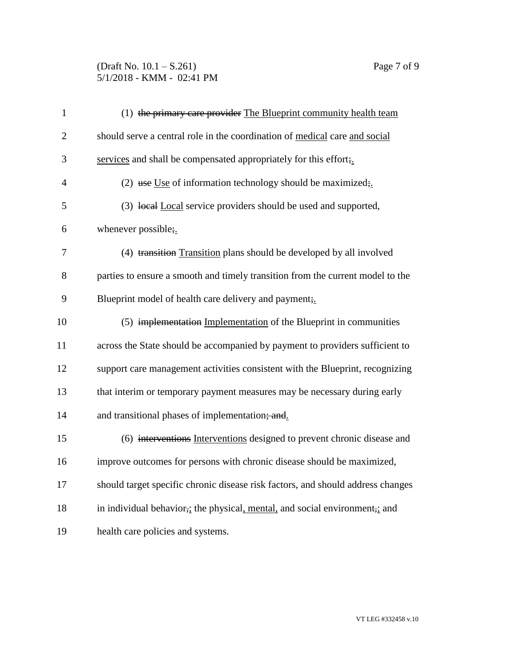(Draft No. 10.1 – S.261) Page 7 of 9 5/1/2018 - KMM - 02:41 PM

| $\mathbf{1}$   | (1) the primary care provider The Blueprint community health team                                     |
|----------------|-------------------------------------------------------------------------------------------------------|
| $\overline{2}$ | should serve a central role in the coordination of medical care and social                            |
| 3              | services and shall be compensated appropriately for this effort;                                      |
| $\overline{4}$ | (2) use Use of information technology should be maximized;                                            |
| 5              | (3) local Local service providers should be used and supported,                                       |
| 6              | whenever possible;                                                                                    |
| 7              | (4) transition Transition plans should be developed by all involved                                   |
| 8              | parties to ensure a smooth and timely transition from the current model to the                        |
| 9              | Blueprint model of health care delivery and payment;                                                  |
| 10             | (5) implementation Implementation of the Blueprint in communities                                     |
| 11             | across the State should be accompanied by payment to providers sufficient to                          |
| 12             | support care management activities consistent with the Blueprint, recognizing                         |
| 13             | that interim or temporary payment measures may be necessary during early                              |
| 14             | and transitional phases of implementation; and                                                        |
| 15             | (6) interventions Interventions designed to prevent chronic disease and                               |
| 16             | improve outcomes for persons with chronic disease should be maximized,                                |
| 17             | should target specific chronic disease risk factors, and should address changes                       |
| 18             | in individual behavior <sub>7</sub> ; the physical, mental, and social environment <sub>7</sub> ; and |
| 19             | health care policies and systems.                                                                     |

VT LEG #332458 v.10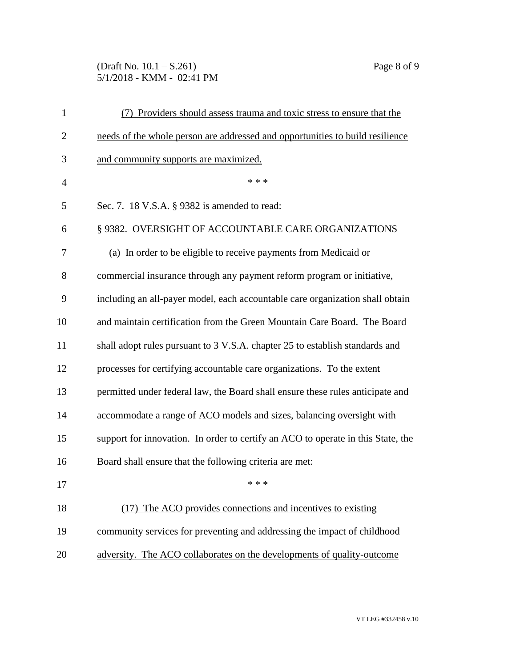(Draft No. 10.1 – S.261) Page 8 of 9 5/1/2018 - KMM - 02:41 PM

| $\mathbf{1}$   | (7) Providers should assess trauma and toxic stress to ensure that the           |
|----------------|----------------------------------------------------------------------------------|
| $\overline{2}$ | needs of the whole person are addressed and opportunities to build resilience    |
| 3              | and community supports are maximized.                                            |
| $\overline{4}$ | * * *                                                                            |
| 5              | Sec. 7. 18 V.S.A. § 9382 is amended to read:                                     |
| 6              | § 9382. OVERSIGHT OF ACCOUNTABLE CARE ORGANIZATIONS                              |
| 7              | (a) In order to be eligible to receive payments from Medicaid or                 |
| 8              | commercial insurance through any payment reform program or initiative,           |
| 9              | including an all-payer model, each accountable care organization shall obtain    |
| 10             | and maintain certification from the Green Mountain Care Board. The Board         |
| 11             | shall adopt rules pursuant to 3 V.S.A. chapter 25 to establish standards and     |
| 12             | processes for certifying accountable care organizations. To the extent           |
| 13             | permitted under federal law, the Board shall ensure these rules anticipate and   |
| 14             | accommodate a range of ACO models and sizes, balancing oversight with            |
| 15             | support for innovation. In order to certify an ACO to operate in this State, the |
| 16             | Board shall ensure that the following criteria are met:                          |
| 17             | * * *                                                                            |
| 18             | (17) The ACO provides connections and incentives to existing                     |
| 19             | community services for preventing and addressing the impact of childhood         |
| 20             | adversity. The ACO collaborates on the developments of quality-outcome           |